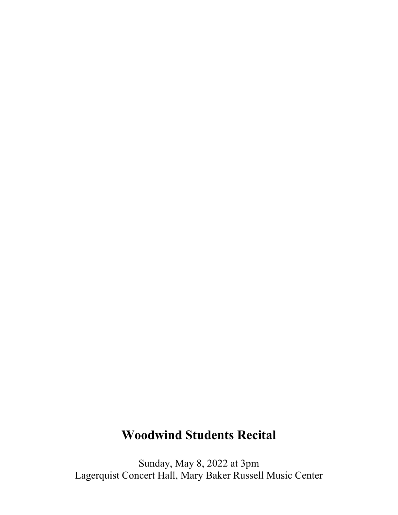## **Woodwind Students Recital**

Sunday, May 8, 2022 at 3pm Lagerquist Concert Hall, Mary Baker Russell Music Center